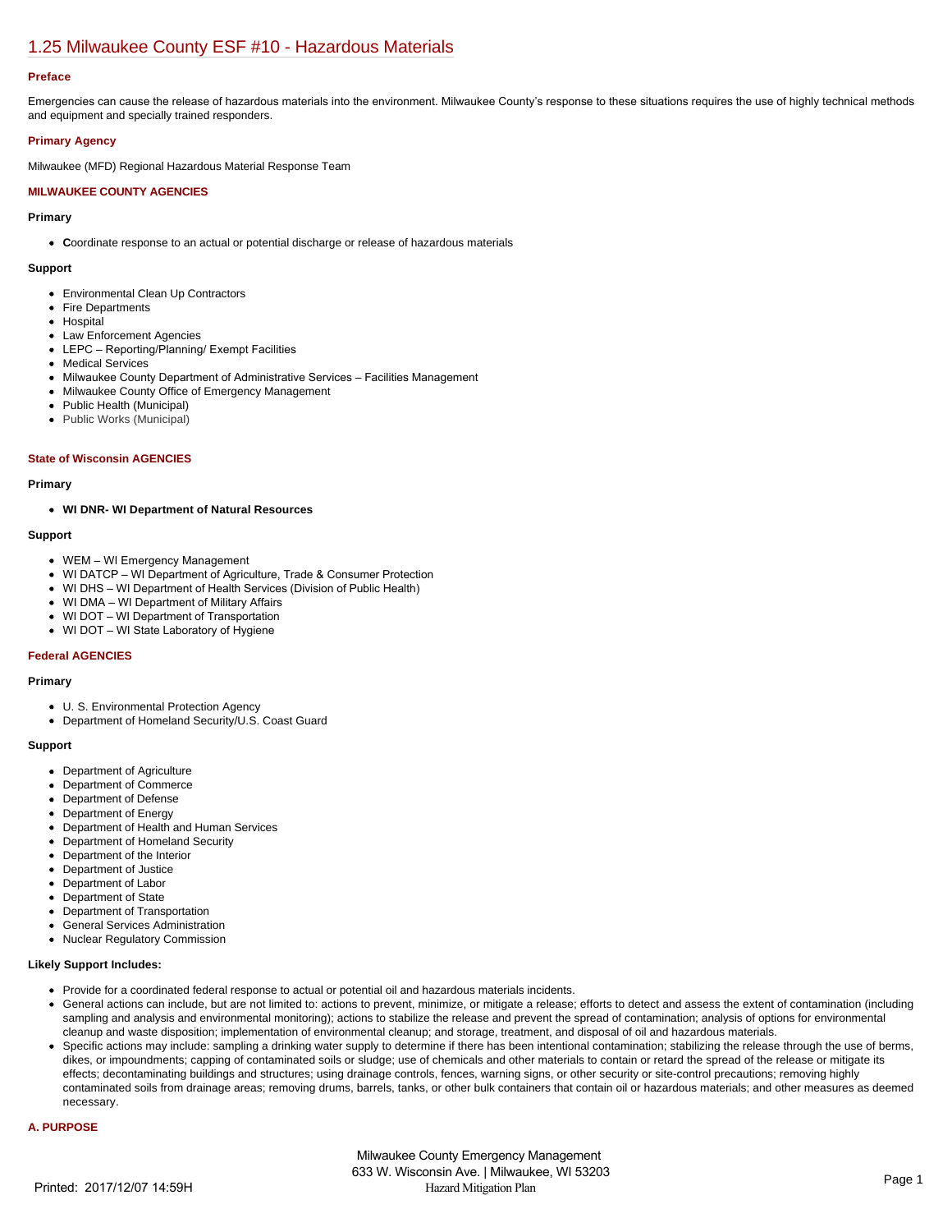## [1.25 Milwaukee County ESF #10 - Hazardous Materials](https://milwaukeecounty.isc-cemp.com/Cemp/Details?id=5805900)

#### **Preface**

Emergencies can cause the release of hazardous materials into the environment. Milwaukee County's response to these situations requires the use of highly technical methods and equipment and specially trained responders.

## **Primary Agency**

Milwaukee (MFD) Regional Hazardous Material Response Team

## **MILWAUKEE COUNTY AGENCIES**

#### **Primary**

**Coordinate response to an actual or potential discharge or release of hazardous materials** 

#### **Support**

- Environmental Clean Up Contractors
- Fire Departments
- Hospital
- Law Enforcement Agencies
- LEPC Reporting/Planning/ Exempt Facilities
- Medical Services
- Milwaukee County Department of Administrative Services Facilities Management
- Milwaukee County Office of Emergency Management
- Public Health (Municipal)
- Public Works (Municipal)

#### **State of Wisconsin AGENCIES**

#### **Primary**

#### **WI DNR- WI Department of Natural Resources**

## **Support**

- WEM WI Emergency Management
- WI DATCP WI Department of Agriculture, Trade & Consumer Protection
- WI DHS WI Department of Health Services (Division of Public Health)
- WI DMA WI Department of Military Affairs
- WI DOT WI Department of Transportation
- WI DOT WI State Laboratory of Hygiene

## **Federal AGENCIES**

#### **Primary**

- U. S. Environmental Protection Agency
- Department of Homeland Security/U.S. Coast Guard

#### **Support**

- Department of Agriculture
- Department of Commerce
- Department of Defense
- Department of Energy
- Department of Health and Human Services
- Department of Homeland Security
- Department of the Interior  $\bullet$
- Department of Justice  $\bullet$
- $\bullet$ Department of Labor
- Department of State  $\bullet$
- Department of Transportation
- General Services Administration
- Nuclear Regulatory Commission

## **Likely Support Includes:**

- Provide for a coordinated federal response to actual or potential oil and hazardous materials incidents.
- General actions can include, but are not limited to: actions to prevent, minimize, or mitigate a release; efforts to detect and assess the extent of contamination (including sampling and analysis and environmental monitoring); actions to stabilize the release and prevent the spread of contamination; analysis of options for environmental cleanup and waste disposition; implementation of environmental cleanup; and storage, treatment, and disposal of oil and hazardous materials.
- Specific actions may include: sampling a drinking water supply to determine if there has been intentional contamination; stabilizing the release through the use of berms, dikes, or impoundments; capping of contaminated soils or sludge; use of chemicals and other materials to contain or retard the spread of the release or mitigate its effects; decontaminating buildings and structures; using drainage controls, fences, warning signs, or other security or site-control precautions; removing highly contaminated soils from drainage areas; removing drums, barrels, tanks, or other bulk containers that contain oil or hazardous materials; and other measures as deemed necessary.

#### **A. PURPOSE**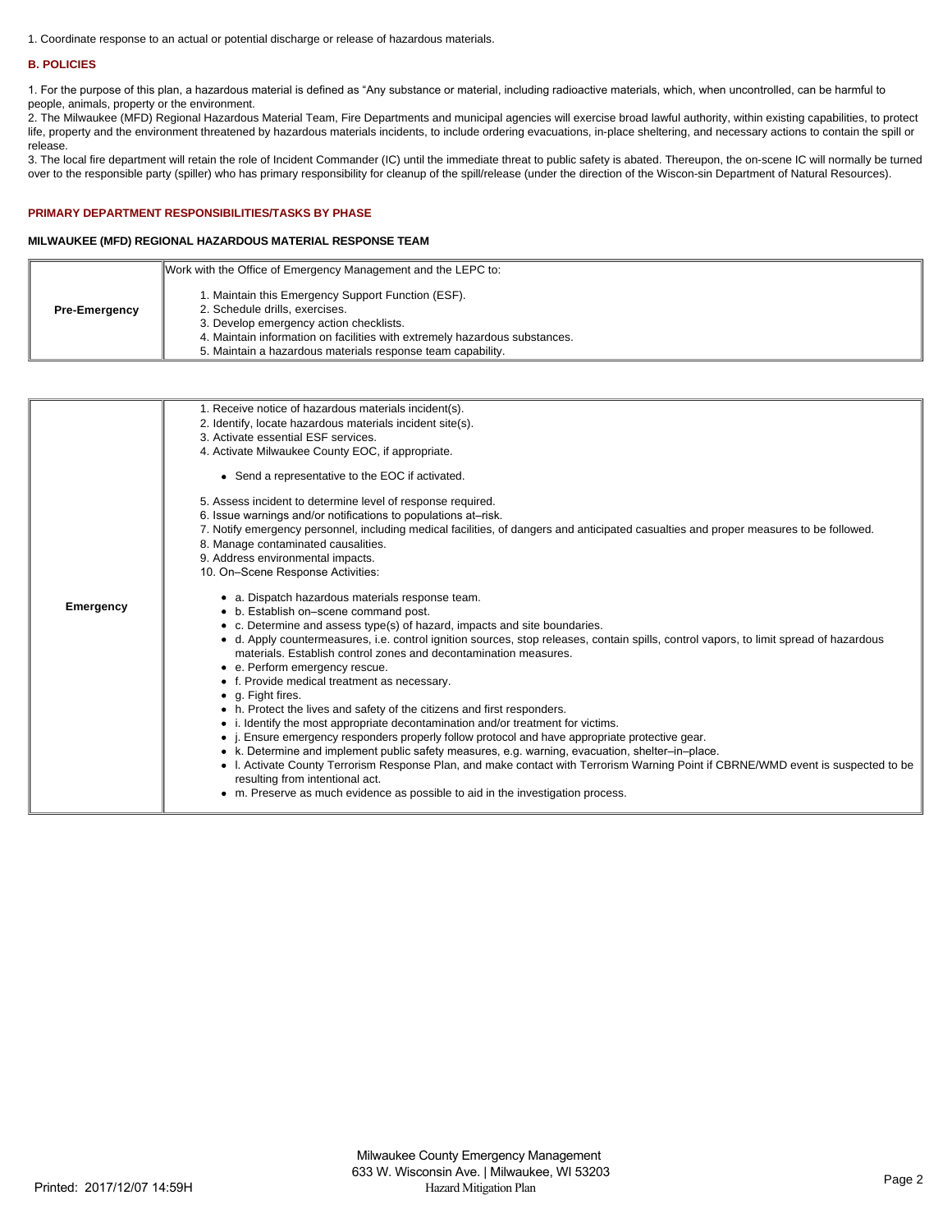1. Coordinate response to an actual or potential discharge or release of hazardous materials.

## **B. POLICIES**

1. For the purpose of this plan, a hazardous material is defined as "Any substance or material, including radioactive materials, which, when uncontrolled, can be harmful to people, animals, property or the environment.

2. The Milwaukee (MFD) Regional Hazardous Material Team, Fire Departments and municipal agencies will exercise broad lawful authority, within existing capabilities, to protect life, property and the environment threatened by hazardous materials incidents, to include ordering evacuations, in-place sheltering, and necessary actions to contain the spill or release.

3. The local fire department will retain the role of Incident Commander (IC) until the immediate threat to public safety is abated. Thereupon, the on-scene IC will normally be turned over to the responsible party (spiller) who has primary responsibility for cleanup of the spill/release (under the direction of the Wiscon-sin Department of Natural Resources).

## **PRIMARY DEPARTMENT RESPONSIBILITIES/TASKS BY PHASE**

## **MILWAUKEE (MFD) REGIONAL HAZARDOUS MATERIAL RESPONSE TEAM**

|                      | Work with the Office of Emergency Management and the LEPC to:                                                                                                                                                                                                                |
|----------------------|------------------------------------------------------------------------------------------------------------------------------------------------------------------------------------------------------------------------------------------------------------------------------|
| <b>Pre-Emergency</b> | 1. Maintain this Emergency Support Function (ESF).<br>2. Schedule drills, exercises.<br>3. Develop emergency action checklists.<br>4. Maintain information on facilities with extremely hazardous substances.<br>5. Maintain a hazardous materials response team capability. |
|                      |                                                                                                                                                                                                                                                                              |

|           | 1. Receive notice of hazardous materials incident(s).                                                                                  |
|-----------|----------------------------------------------------------------------------------------------------------------------------------------|
|           | 2. Identify, locate hazardous materials incident site(s).                                                                              |
|           | 3. Activate essential ESF services.                                                                                                    |
|           | 4. Activate Milwaukee County EOC, if appropriate.                                                                                      |
|           |                                                                                                                                        |
|           | • Send a representative to the EOC if activated.                                                                                       |
|           | 5. Assess incident to determine level of response required.                                                                            |
|           | 6. Issue warnings and/or notifications to populations at-risk.                                                                         |
|           | 7. Notify emergency personnel, including medical facilities, of dangers and anticipated casualties and proper measures to be followed. |
|           | 8. Manage contaminated causalities.                                                                                                    |
|           | 9. Address environmental impacts.                                                                                                      |
|           | 10. On-Scene Response Activities:                                                                                                      |
|           |                                                                                                                                        |
| Emergency | • a. Dispatch hazardous materials response team.                                                                                       |
|           | • b. Establish on-scene command post.                                                                                                  |
|           | • c. Determine and assess type(s) of hazard, impacts and site boundaries.                                                              |
|           | • d. Apply countermeasures, i.e. control ignition sources, stop releases, contain spills, control vapors, to limit spread of hazardous |
|           | materials. Establish control zones and decontamination measures.                                                                       |
|           | • e. Perform emergency rescue.                                                                                                         |
|           | • f. Provide medical treatment as necessary.                                                                                           |
|           | • g. Fight fires.                                                                                                                      |
|           | • h. Protect the lives and safety of the citizens and first responders.                                                                |
|           | • i. Identify the most appropriate decontamination and/or treatment for victims.                                                       |
|           | • <i>i.</i> Ensure emergency responders properly follow protocol and have appropriate protective gear.                                 |
|           | • k. Determine and implement public safety measures, e.g. warning, evacuation, shelter-in-place.                                       |
|           |                                                                                                                                        |
|           | • I. Activate County Terrorism Response Plan, and make contact with Terrorism Warning Point if CBRNE/WMD event is suspected to be      |
|           | resulting from intentional act.                                                                                                        |
|           | • m. Preserve as much evidence as possible to aid in the investigation process.                                                        |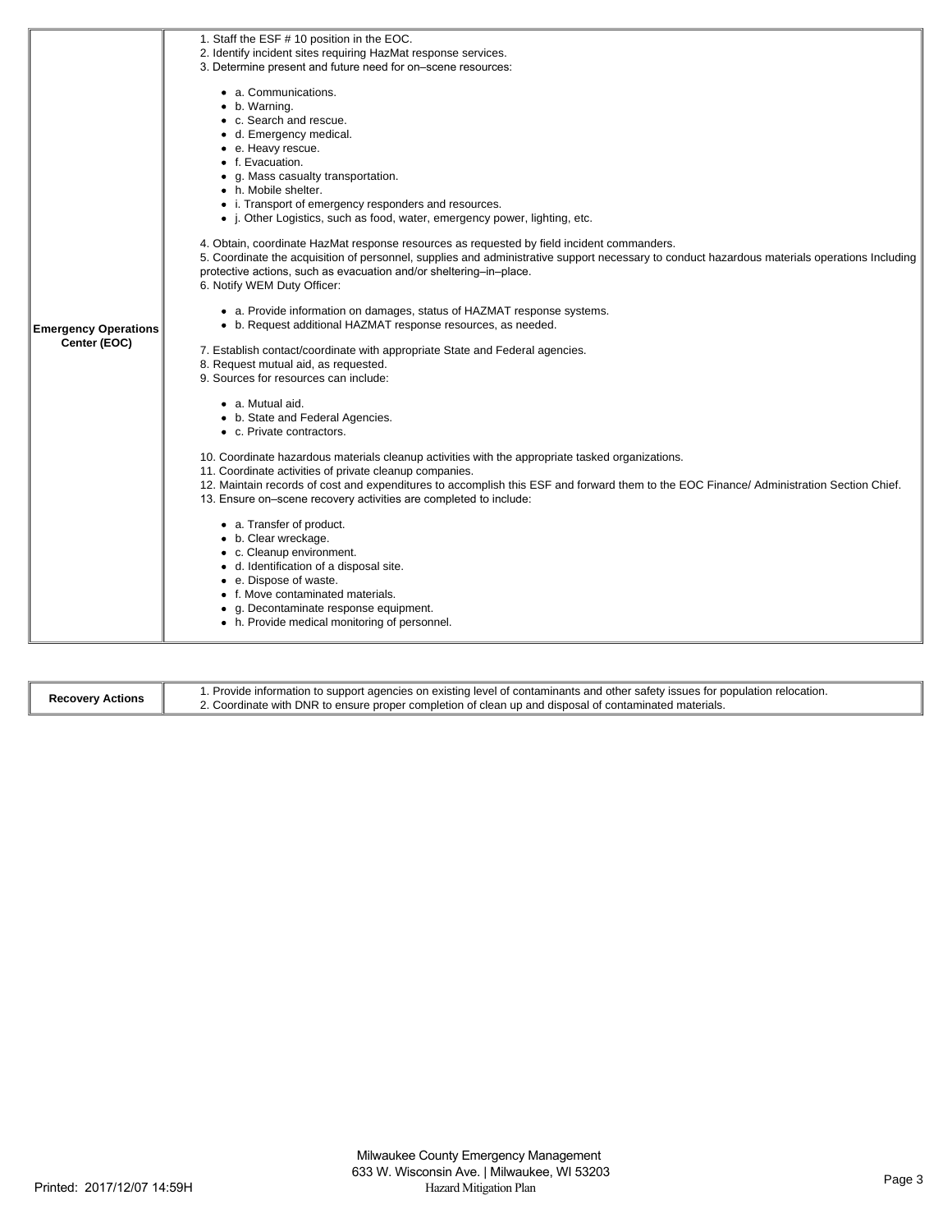|                             | 1. Staff the ESF # 10 position in the EOC.                                                                                                    |
|-----------------------------|-----------------------------------------------------------------------------------------------------------------------------------------------|
|                             | 2. Identify incident sites requiring HazMat response services.                                                                                |
|                             | 3. Determine present and future need for on-scene resources:                                                                                  |
|                             | • a. Communications.                                                                                                                          |
|                             | • b. Warning.                                                                                                                                 |
|                             | • c. Search and rescue.                                                                                                                       |
|                             | • d. Emergency medical.                                                                                                                       |
|                             | e. Heavy rescue.                                                                                                                              |
|                             | • f. Evacuation.                                                                                                                              |
|                             | • g. Mass casualty transportation.                                                                                                            |
|                             | • h. Mobile shelter.                                                                                                                          |
|                             | • i. Transport of emergency responders and resources.                                                                                         |
|                             | • j. Other Logistics, such as food, water, emergency power, lighting, etc.                                                                    |
|                             |                                                                                                                                               |
|                             | 4. Obtain, coordinate HazMat response resources as requested by field incident commanders.                                                    |
|                             | 5. Coordinate the acquisition of personnel, supplies and administrative support necessary to conduct hazardous materials operations Including |
|                             | protective actions, such as evacuation and/or sheltering-in-place.                                                                            |
|                             | 6. Notify WEM Duty Officer:                                                                                                                   |
|                             |                                                                                                                                               |
|                             | • a. Provide information on damages, status of HAZMAT response systems.                                                                       |
| <b>Emergency Operations</b> | • b. Request additional HAZMAT response resources, as needed.                                                                                 |
| Center (EOC)                |                                                                                                                                               |
|                             | 7. Establish contact/coordinate with appropriate State and Federal agencies.<br>8. Request mutual aid, as requested.                          |
|                             | 9. Sources for resources can include:                                                                                                         |
|                             |                                                                                                                                               |
|                             | • a. Mutual aid.                                                                                                                              |
|                             | • b. State and Federal Agencies.                                                                                                              |
|                             | • c. Private contractors.                                                                                                                     |
|                             |                                                                                                                                               |
|                             | 10. Coordinate hazardous materials cleanup activities with the appropriate tasked organizations.                                              |
|                             | 11. Coordinate activities of private cleanup companies.                                                                                       |
|                             | 12. Maintain records of cost and expenditures to accomplish this ESF and forward them to the EOC Finance/Administration Section Chief.        |
|                             | 13. Ensure on-scene recovery activities are completed to include:                                                                             |
|                             |                                                                                                                                               |
|                             | • a. Transfer of product.                                                                                                                     |
|                             | • b. Clear wreckage.                                                                                                                          |
|                             | • c. Cleanup environment.                                                                                                                     |
|                             | • d. Identification of a disposal site.                                                                                                       |
|                             | • e. Dispose of waste.                                                                                                                        |
|                             | • f. Move contaminated materials.                                                                                                             |
|                             | • g. Decontaminate response equipment.                                                                                                        |
|                             | • h. Provide medical monitoring of personnel.                                                                                                 |
|                             |                                                                                                                                               |

| <b>Recovery Actions</b> | 1. Provide information to support agencies on existing level of contaminants and other safety issues for population relocation. |
|-------------------------|---------------------------------------------------------------------------------------------------------------------------------|
|                         | . Coordinate with DNR to ensure proper completion of clean up and disposal of contaminated materials.                           |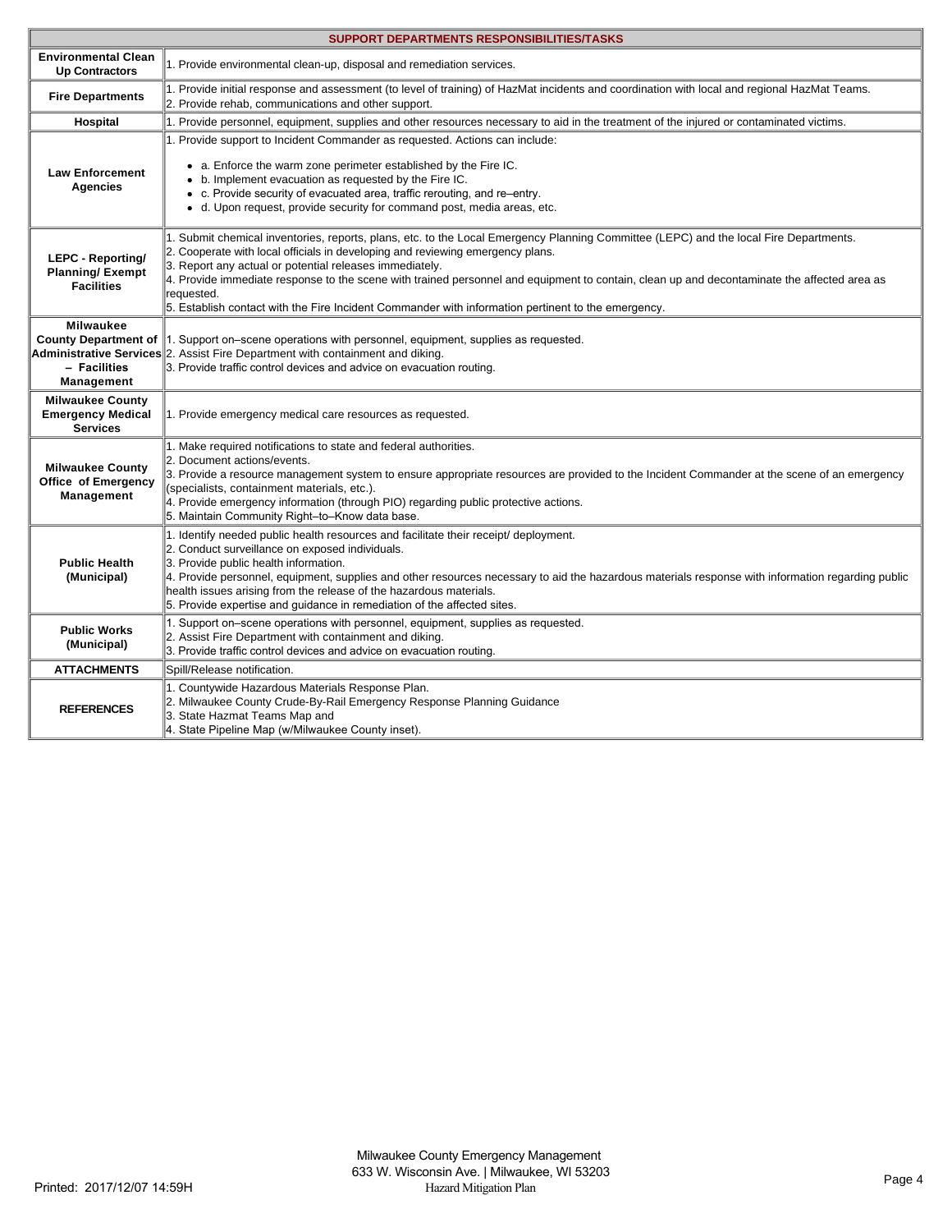| <b>SUPPORT DEPARTMENTS RESPONSIBILITIES/TASKS</b>                             |                                                                                                                                                                                                                                                                                                                                                                                                                                                                                                                                                       |  |
|-------------------------------------------------------------------------------|-------------------------------------------------------------------------------------------------------------------------------------------------------------------------------------------------------------------------------------------------------------------------------------------------------------------------------------------------------------------------------------------------------------------------------------------------------------------------------------------------------------------------------------------------------|--|
| <b>Environmental Clean</b><br><b>Up Contractors</b>                           | 1. Provide environmental clean-up, disposal and remediation services.                                                                                                                                                                                                                                                                                                                                                                                                                                                                                 |  |
| <b>Fire Departments</b>                                                       | 1. Provide initial response and assessment (to level of training) of HazMat incidents and coordination with local and regional HazMat Teams.<br>2. Provide rehab, communications and other support.                                                                                                                                                                                                                                                                                                                                                   |  |
| Hospital                                                                      | 1. Provide personnel, equipment, supplies and other resources necessary to aid in the treatment of the injured or contaminated victims.                                                                                                                                                                                                                                                                                                                                                                                                               |  |
| <b>Law Enforcement</b><br><b>Agencies</b>                                     | 1. Provide support to Incident Commander as requested. Actions can include:<br>• a. Enforce the warm zone perimeter established by the Fire IC.<br>• b. Implement evacuation as requested by the Fire IC.<br>• c. Provide security of evacuated area, traffic rerouting, and re-entry.<br>• d. Upon request, provide security for command post, media areas, etc.                                                                                                                                                                                     |  |
| <b>LEPC - Reporting/</b><br><b>Planning/Exempt</b><br><b>Facilities</b>       | 1. Submit chemical inventories, reports, plans, etc. to the Local Emergency Planning Committee (LEPC) and the local Fire Departments.<br>2. Cooperate with local officials in developing and reviewing emergency plans.<br>3. Report any actual or potential releases immediately.<br>4. Provide immediate response to the scene with trained personnel and equipment to contain, clean up and decontaminate the affected area as<br>requested.<br>5. Establish contact with the Fire Incident Commander with information pertinent to the emergency. |  |
| <b>Milwaukee</b><br><b>County Department of</b><br>- Facilities<br>Management | $\parallel$ 1. Support on-scene operations with personnel, equipment, supplies as requested.<br>Administrative Services 2. Assist Fire Department with containment and diking.<br>3. Provide traffic control devices and advice on evacuation routing.                                                                                                                                                                                                                                                                                                |  |
| <b>Milwaukee County</b><br><b>Emergency Medical</b><br><b>Services</b>        | 1. Provide emergency medical care resources as requested.                                                                                                                                                                                                                                                                                                                                                                                                                                                                                             |  |
| <b>Milwaukee County</b><br>Office of Emergency<br>Management                  | 1. Make required notifications to state and federal authorities.<br>2. Document actions/events.<br>3. Provide a resource management system to ensure appropriate resources are provided to the Incident Commander at the scene of an emergency<br>(specialists, containment materials, etc.).<br>4. Provide emergency information (through PIO) regarding public protective actions.<br>5. Maintain Community Right-to-Know data base.                                                                                                                |  |
| <b>Public Health</b><br>(Municipal)                                           | 1. Identify needed public health resources and facilitate their receipt/ deployment.<br>2. Conduct surveillance on exposed individuals.<br>3. Provide public health information.<br>4. Provide personnel, equipment, supplies and other resources necessary to aid the hazardous materials response with information regarding public<br>health issues arising from the release of the hazardous materials.<br>5. Provide expertise and quidance in remediation of the affected sites.                                                                |  |
| <b>Public Works</b><br>(Municipal)                                            | 1. Support on–scene operations with personnel, equipment, supplies as requested.<br>2. Assist Fire Department with containment and diking.<br>3. Provide traffic control devices and advice on evacuation routing.                                                                                                                                                                                                                                                                                                                                    |  |
| <b>ATTACHMENTS</b>                                                            | Spill/Release notification.                                                                                                                                                                                                                                                                                                                                                                                                                                                                                                                           |  |
| <b>REFERENCES</b>                                                             | 1. Countywide Hazardous Materials Response Plan.<br>2. Milwaukee County Crude-By-Rail Emergency Response Planning Guidance<br>3. State Hazmat Teams Map and<br>4. State Pipeline Map (w/Milwaukee County inset).                                                                                                                                                                                                                                                                                                                                      |  |